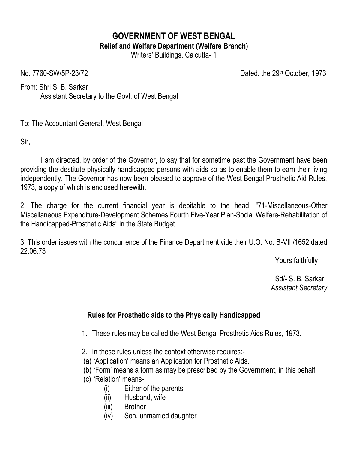## **GOVERNMENT OF WEST BENGAL Relief and Welfare Department (Welfare Branch)**

Writers' Buildings, Calcutta- 1

No. 7760-SW/5P-23/72 Dated. the 29th October, 1973

From: Shri S. B. Sarkar Assistant Secretary to the Govt. of West Bengal

To: The Accountant General, West Bengal

Sir,

I am directed, by order of the Governor, to say that for sometime past the Government have been providing the destitute physically handicapped persons with aids so as to enable them to earn their living independently. The Governor has now been pleased to approve of the West Bengal Prosthetic Aid Rules, 1973, a copy of which is enclosed herewith.

2. The charge for the current financial year is debitable to the head. "71-Miscellaneous-Other Miscellaneous Expenditure-Development Schemes Fourth Five-Year Plan-Social Welfare-Rehabilitation of the Handicapped-Prosthetic Aids" in the State Budget.

3. This order issues with the concurrence of the Finance Department vide their U.O. No. B-VIII/1652 dated 22.06.73

Yours faithfully

 Sd/- S. B. Sarkar  *Assistant Secretary*

## **Rules for Prosthetic aids to the Physically Handicapped**

- 1. These rules may be called the West Bengal Prosthetic Aids Rules, 1973.
- 2. In these rules unless the context otherwise requires:-
- (a) 'Application' means an Application for Prosthetic Aids.
- (b) 'Form' means a form as may be prescribed by the Government, in this behalf.
- (c) 'Relation' means-
	- (i) Either of the parents
	- (ii) Husband, wife
	- (iii) Brother
	- (iv) Son, unmarried daughter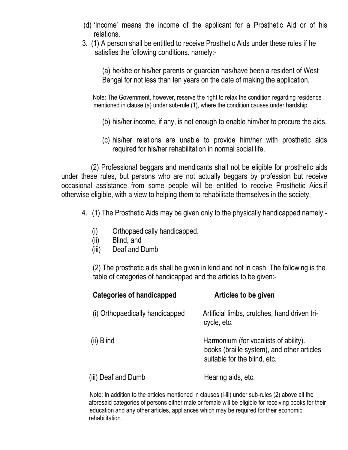- (d) 'Income' means the income of the applicant for a Prosthetic Aid or of his relations.
- 3. (1) A person shall be entitled to receive Prosthetic Aids under these rules if he satisfies the following conditions. namely:-

(a) he/she or his/her parents or guardian has/have been a resident of West Bengal for not less than ten years on the date of making the application.

 Note: The Government, however, reserve the right to relax the condition regarding residence mentioned in clause (a) under sub-rule (1), where the condition causes under hardship

- (b) his/her income, if any, is not enough to enable him/her to procure the aids.
- (c) his/her relations are unable to provide him/her with prosthetic aids required for his/her rehabilitation in normal social life.

 (2) Professional beggars and mendicants shall not be eligible for prosthetic aids under these rules, but persons who are not actually beggars by profession but receive occasional assistance from some people will be entitled to receive Prosthetic Aids.if otherwise eligible, with a view to helping them to rehabilitate themselves in the society.

- 4. (1) The Prosthetic Aids may be given only to the physically handicapped namely:-
	- (i) Orthopaedically handicapped.
	- (ii) Blind, and
	- (iii) Deaf and Dumb

 (2) The prosthetic aids shall be given in kind and not in cash. The following is the table of categories of handicapped and the articles to be given:-

|                     | <b>Categories of handicapped</b> | Articles to be given                                                                                                |
|---------------------|----------------------------------|---------------------------------------------------------------------------------------------------------------------|
|                     | (i) Orthopaedically handicapped  | Artificial limbs, crutches, hand driven tri-<br>cycle, etc.                                                         |
| (ii) Blind          |                                  | Harmonium (for vocalists of ability).<br>books (braille system), and other articles<br>suitable for the blind, etc. |
| (iii) Deaf and Dumb |                                  | Hearing aids, etc.                                                                                                  |

 Note: In addition to the articles mentioned in clauses (i-iii) under sub-rules (2) above all the aforesaid categories of persons either male or female will be eligible for receiving books for their education and any other articles, appliances which may be required for their economic rehabilitation.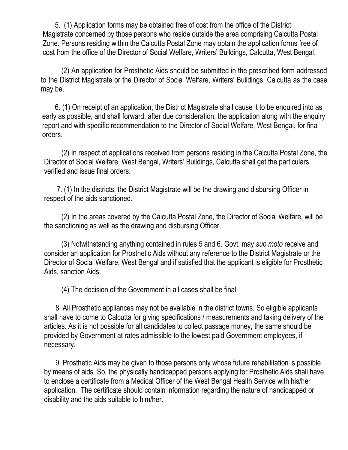5. (1) Application forms may be obtained free of cost from the office of the District Magistrate concerned by those persons who reside outside the area comprising Calcutta Postal Zone. Persons residing within the Calcutta Postal Zone may obtain the application forms free of cost from the office of the Director of Social Welfare, Writers' Buildings, Calcutta, West Bengal.

(2) An application for Prosthetic Aids should be submitted in the prescribed form addressed to the District Magistrate or the Director of Social Welfare, Writers' Buildings, Calcutta as the case may be.

 6. (1) On receipt of an application, the District Magistrate shall cause it to be enquired into as early as possible, and shall forward, after due consideration, the application along with the enquiry report and with specific recommendation to the Director of Social Welfare, West Bengal, for final orders.

(2) In respect of applications received from persons residing in the Calcutta Postal Zone, the Director of Social Welfare, West Bengal, Writers' Buildings, Calcutta shall get the particulars verified and issue final orders.

 7. (1) In the districts, the District Magistrate will be the drawing and disbursing Officer in respect of the aids sanctioned.

(2) In the areas covered by the Calcutta Postal Zone, the Director of Social Welfare, will be the sanctioning as well as the drawing and disbursing Officer.

(3) Notwithstanding anything contained in rules 5 and 6. Govt. may *suo moto* receive and consider an application for Prosthetic Aids without any reference to the District Magistrate or the Director of Social Welfare, West Bengal and if satisfied that the applicant is eligible for Prosthetic Aids, sanction Aids.

(4) The decision of the Government in all cases shall be final.

 8. All Prosthetic appliances may not be available in the district towns. So eligible applicants shall have to come to Calcutta for giving specifications / measurements and taking delivery of the articles. As it is not possible for all candidates to collect passage money, the same should be provided by Government at rates admissible to the lowest paid Government employees, if necessary.

 9. Prosthetic Aids may be given to those persons only whose future rehabilitation is possible by means of aids. So, the physically handicapped persons applying for Prosthetic Aids shall have to enclose a certificate from a Medical Officer of the West Bengal Health Service with his/her application. The certificate should contain information regarding the nature of handicapped or disability and the aids suitable to him/her.